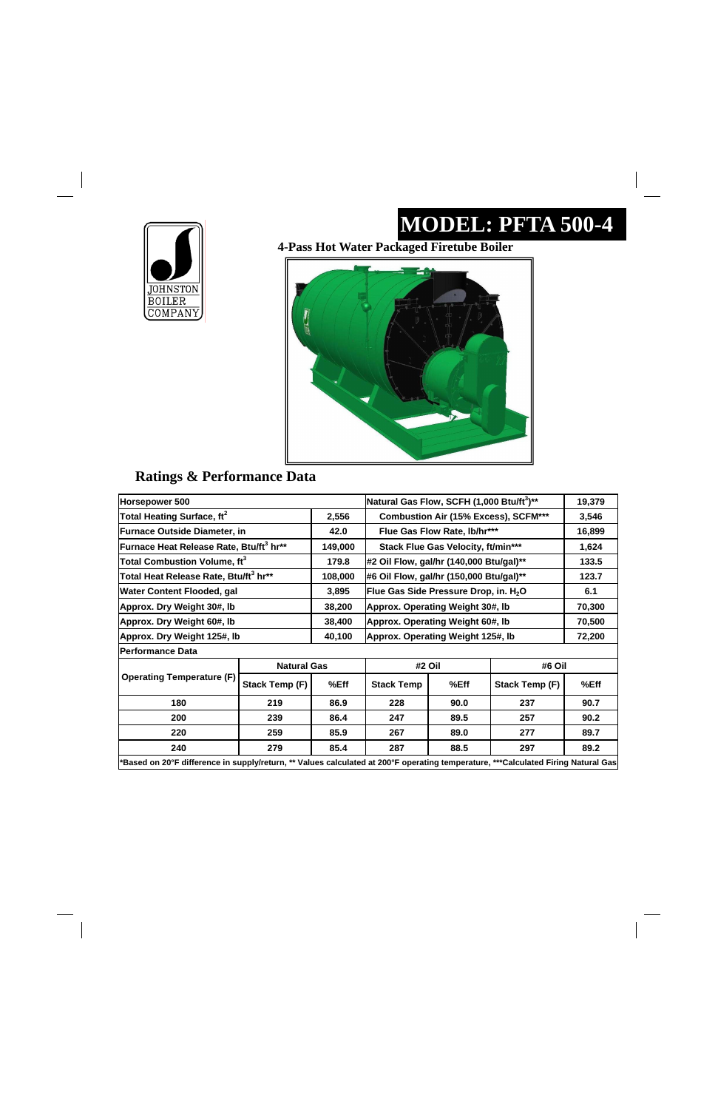### **MODEL: PFTA 500-4**



#### **Ratings & Performance Data**

**4-Pass Hot Water Packaged Firetube Boiler** 



| Horsepower 500                                      |                    |                                             | Natural Gas Flow, SCFH (1,000 Btu/ft <sup>3</sup> )** |                                                   |                | 19,379 |  |
|-----------------------------------------------------|--------------------|---------------------------------------------|-------------------------------------------------------|---------------------------------------------------|----------------|--------|--|
| Total Heating Surface, ft <sup>2</sup>              | 2,556              | <b>Combustion Air (15% Excess), SCFM***</b> |                                                       |                                                   | 3,546          |        |  |
| <b>Furnace Outside Diameter, in</b>                 |                    | 42.0                                        |                                                       | Flue Gas Flow Rate, lb/hr***                      |                |        |  |
| Furnace Heat Release Rate, Btu/ft <sup>3</sup> hr** |                    | 149,000                                     | Stack Flue Gas Velocity, ft/min***                    |                                                   |                | 1,624  |  |
| Total Combustion Volume, ft $^3$                    |                    | 179.8                                       | #2 Oil Flow, gal/hr (140,000 Btu/gal)**               |                                                   |                | 133.5  |  |
| Total Heat Release Rate, Btu/ft <sup>3</sup> hr**   |                    | 108,000                                     |                                                       | #6 Oil Flow, gal/hr (150,000 Btu/gal)**           |                |        |  |
| <b>Water Content Flooded, gal</b>                   |                    | 3,895                                       |                                                       | Flue Gas Side Pressure Drop, in. H <sub>2</sub> O |                |        |  |
| Approx. Dry Weight 30#, lb                          |                    | 38,200                                      | Approx. Operating Weight 30#, Ib                      |                                                   |                | 70,300 |  |
| Approx. Dry Weight 60#, lb                          |                    | 38,400                                      | Approx. Operating Weight 60#, Ib                      |                                                   |                | 70,500 |  |
| Approx. Dry Weight 125#, lb                         |                    | 40,100                                      | Approx. Operating Weight 125#, Ib                     |                                                   |                | 72,200 |  |
| <b>Performance Data</b>                             |                    |                                             |                                                       |                                                   |                |        |  |
|                                                     | <b>Natural Gas</b> |                                             | #2 Oil                                                |                                                   | #6 Oil         |        |  |
| <b>Operating Temperature (F)</b>                    | Stack Temp (F)     | %Eff                                        | <b>Stack Temp</b>                                     | %Eff                                              | Stack Temp (F) | %Eff   |  |
| 180                                                 | 219                | 86.9                                        | 228                                                   | 90.0                                              | 237            | 90.7   |  |
| 200                                                 | 239                | 86.4                                        | 247                                                   | 89.5                                              | 257            | 90.2   |  |
| 220<br>259                                          |                    | 85.9                                        | 267                                                   | 89.0                                              | 277            | 89.7   |  |
| 240<br>279                                          |                    | 85.4                                        | 287                                                   | 88.5                                              | 297            | 89.2   |  |

 $\overline{\phantom{a}}$  $\begin{array}{c} \begin{array}{c} \begin{array}{c} \begin{array}{c} \end{array} \\ \begin{array}{c} \end{array} \end{array} \end{array} \end{array}$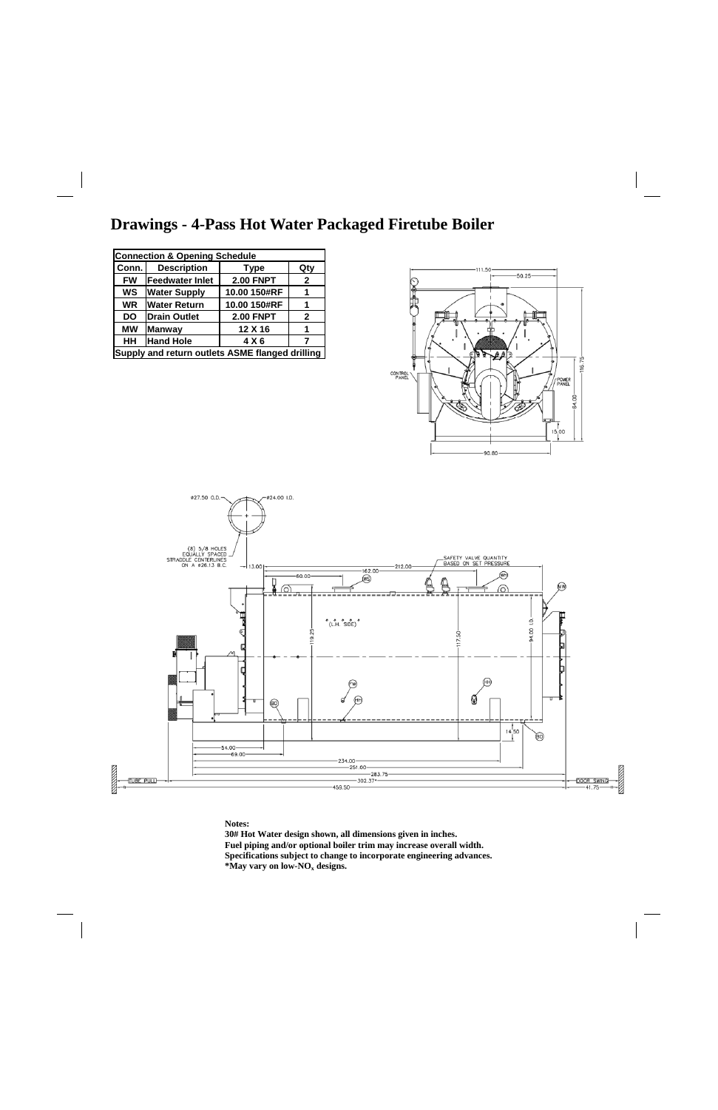### **Drawings - 4-Pass Hot Water Packaged Firetube Boiler**





**Notes:** 

**30# Hot Water design shown, all dimensions given in inches. Fuel piping and/or optional boiler trim may increase overall width. Specifications subject to change to incorporate engineering advances. \*May vary on low-NOx designs.** 

| <b>Connection &amp; Opening Schedule</b>        |                                   |                  |              |  |  |
|-------------------------------------------------|-----------------------------------|------------------|--------------|--|--|
| Conn.                                           | <b>Description</b><br><b>Type</b> |                  |              |  |  |
| <b>FW</b>                                       | <b>Feedwater Inlet</b>            | <b>2.00 FNPT</b> | $\mathbf{2}$ |  |  |
| <b>WS</b>                                       | <b>Water Supply</b>               | 10.00 150#RF     | 1            |  |  |
| <b>WR</b>                                       | <b>Water Return</b>               | 10.00 150#RF     | 1            |  |  |
| <b>DO</b>                                       | <b>Drain Outlet</b>               | <b>2.00 FNPT</b> | $\mathbf{2}$ |  |  |
| <b>MW</b>                                       | <b>Manway</b>                     | 12 X 16          | 1            |  |  |
| HH                                              | <b>Hand Hole</b>                  | 4 X 6            | 7            |  |  |
| Supply and return outlets ASME flanged drilling |                                   |                  |              |  |  |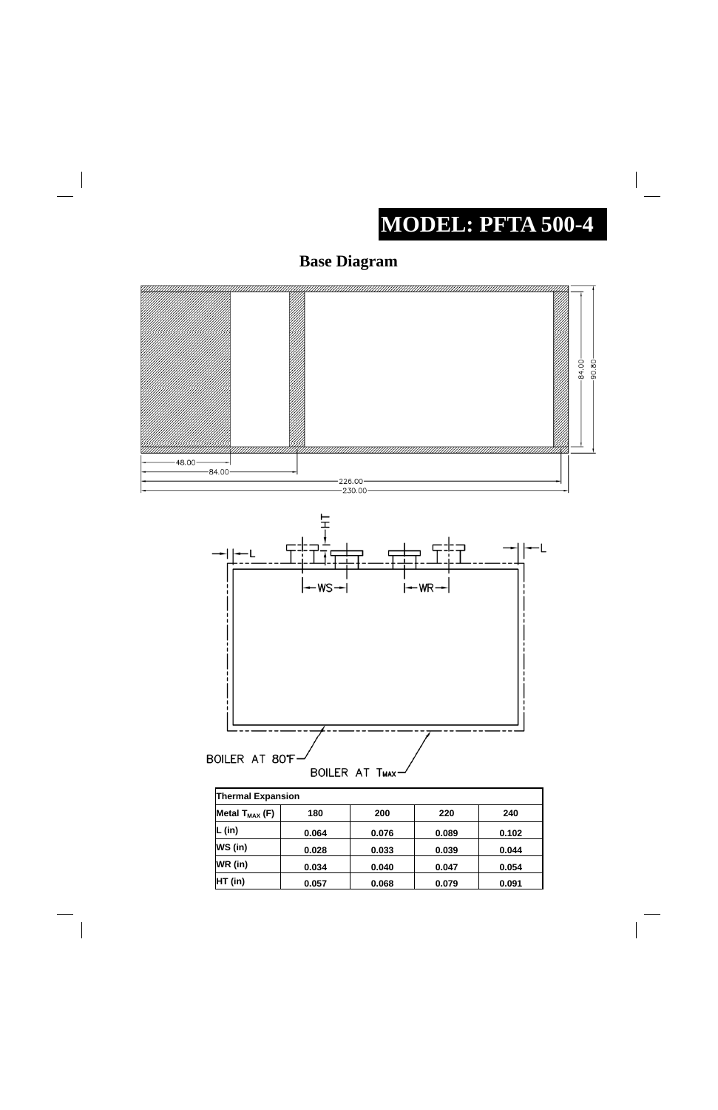## **MODEL: PFTA 500-4**





| $P^{\cdots}$ $\cdots$ $\cdots$ $\cdots$ | .     | ---   | ---   |       |
|-----------------------------------------|-------|-------|-------|-------|
| $\mathsf{L}$ (in)                       | 0.064 | 0.076 | 0.089 | 0.102 |
| WS (in)                                 | 0.028 | 0.033 | 0.039 | 0.044 |
| WR (in)                                 | 0.034 | 0.040 | 0.047 | 0.054 |
| HT (in)                                 | 0.057 | 0.068 | 0.079 | 0.091 |

 $\begin{array}{c} \hline \end{array}$ 

 $\overline{\phantom{a}}$